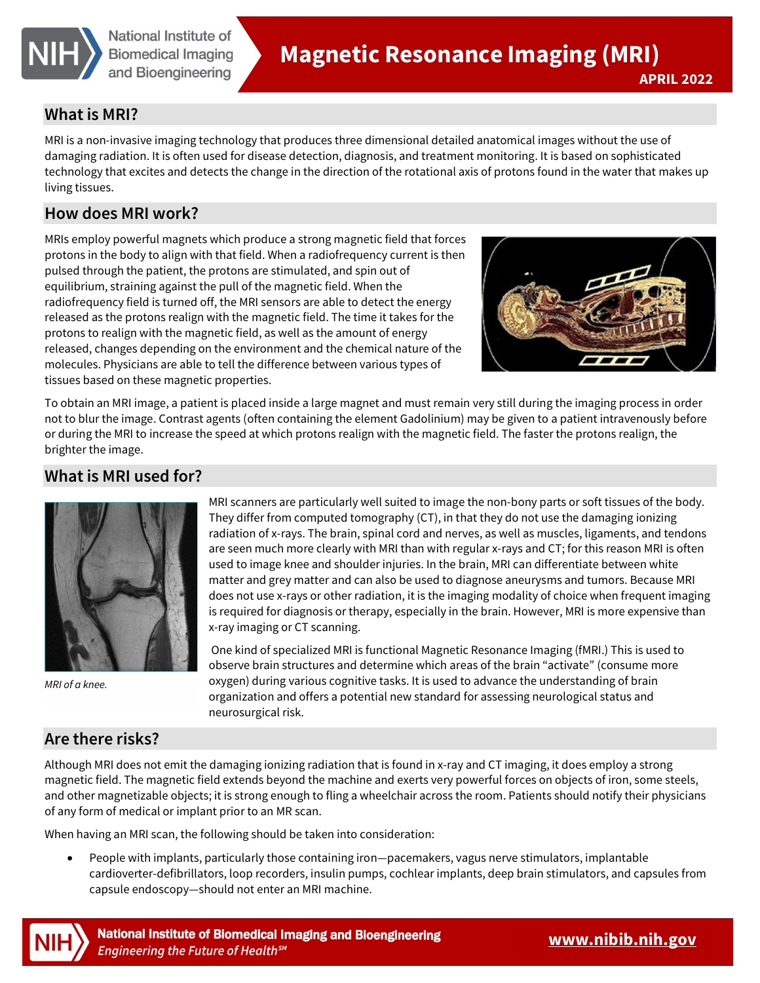

#### **What is MRI?**

MRI is a non-invasive imaging technology that produces three dimensional detailed anatomical images without the use of damaging radiation. It is often used for disease detection, diagnosis, and treatment monitoring. It is based on sophisticated technology that excites and detects the change in the direction of the rotational axis of protons found in the water that makes up living tissues.

### **How does MRI work?**

MRIs employ powerful magnets which produce a strong magnetic field that forces protons in the body to align with that field. When a radiofrequency current is then pulsed through the patient, the protons are stimulated, and spin out of equilibrium, straining against the pull of the magnetic field. When the radiofrequency field is turned off, the MRI sensors are able to detect the energy released as the protons realign with the magnetic field. The time it takes for the protons to realign with the magnetic field, as well as the amount of energy released, changes depending on the environment and the chemical nature of the molecules. Physicians are able to tell the difference between various types of tissues based on these magnetic properties.



**APRIL 2022** 

To obtain an MRI image, a patient is placed inside a large magnet and must remain very still during the imaging process in order not to blur the image. Contrast agents (often containing the element Gadolinium) may be given to a patient intravenously before or during the MRI to increase the speed at which protons realign with the magnetic field. The faster the protons realign, the brighter the image.

## **What is MRI used for?**



*MRI of a knee.* 

MRI scanners are particularly well suited to image the non-bony parts or soft tissues of the body. They differ from computed tomography (CT), in that they do not use the damaging ionizing radiation of x-rays. The brain, spinal cord and nerves, as well as muscles, ligaments, and tendons are seen much more clearly with MRI than with regular x-rays and CT; for this reason MRI is often used to image knee and shoulder injuries. In the brain, MRI can differentiate between white matter and grey matter and can also be used to diagnose aneurysms and tumors. Because MRI does not use x-rays or other radiation, it is the imaging modality of choice when frequent imaging is required for diagnosis or therapy, especially in the brain. However, MRI is more expensive than x-ray imaging or CT scanning.

One kind of specialized MRI is functional Magnetic Resonance Imaging (fMRI.) This is used to observe brain structures and determine which areas of the brain "activate" (consume more oxygen) during various cognitive tasks. It is used to advance the understanding of brain organization and offers a potential new standard for assessing neurological status and neurosurgical risk.

## **Are there risks?**

Although MRI does not emit the damaging ionizing radiation that is found in x-ray and CT imaging, it does employ a strong magnetic field. The magnetic field extends beyond the machine and exerts very powerful forces on objects of iron, some steels, and other magnetizable objects; it is strong enough to fling a wheelchair across the room. Patients should notify their physicians of any form of medical or implant prior to an MR scan.

When having an MRI scan, the following should be taken into consideration:

• People with implants, particularly those containing iron—pacemakers, vagus nerve stimulators, implantable cardioverter-defibrillators, loop recorders, insulin pumps, cochlear implants, deep brain stimulators, and capsules from capsule endoscopy—should not enter an MRI machine.